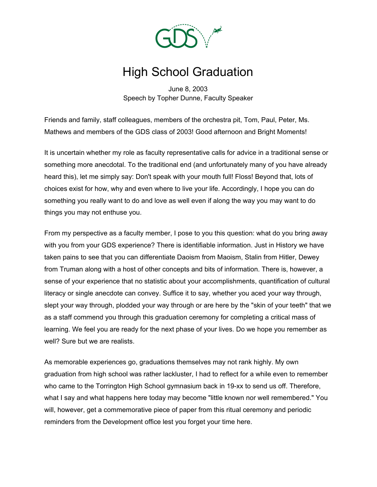

## High School Graduation

June 8, 2003 Speech by Topher Dunne, Faculty Speaker

Friends and family, staff colleagues, members of the orchestra pit, Tom, Paul, Peter, Ms. Mathews and members of the GDS class of 2003! Good afternoon and Bright Moments!

It is uncertain whether my role as faculty representative calls for advice in a traditional sense or something more anecdotal. To the traditional end (and unfortunately many of you have already heard this), let me simply say: Don't speak with your mouth full! Floss! Beyond that, lots of choices exist for how, why and even where to live your life. Accordingly, I hope you can do something you really want to do and love as well even if along the way you may want to do things you may not enthuse you.

From my perspective as a faculty member, I pose to you this question: what do you bring away with you from your GDS experience? There is identifiable information. Just in History we have taken pains to see that you can differentiate Daoism from Maoism, Stalin from Hitler, Dewey from Truman along with a host of other concepts and bits of information. There is, however, a sense of your experience that no statistic about your accomplishments, quantification of cultural literacy or single anecdote can convey. Suffice it to say, whether you aced your way through, slept your way through, plodded your way through or are here by the "skin of your teeth" that we as a staff commend you through this graduation ceremony for completing a critical mass of learning. We feel you are ready for the next phase of your lives. Do we hope you remember as well? Sure but we are realists.

As memorable experiences go, graduations themselves may not rank highly. My own graduation from high school was rather lackluster, I had to reflect for a while even to remember who came to the Torrington High School gymnasium back in 19-xx to send us off. Therefore, what I say and what happens here today may become "little known nor well remembered." You will, however, get a commemorative piece of paper from this ritual ceremony and periodic reminders from the Development office lest you forget your time here.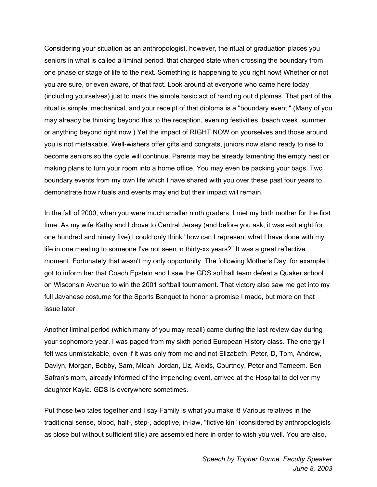Considering your situation as an anthropologist, however, the ritual of graduation places you seniors in what is called a liminal period, that charged state when crossing the boundary from one phase or stage of life to the next. Something is happening to you right now! Whether or not you are sure, or even aware, of that fact. Look around at everyone who came here today (including yourselves) just to mark the simple basic act of handing out diplomas. That part of the ritual is simple, mechanical, and your receipt of that diploma is a "boundary event." (Many of you may already be thinking beyond this to the reception, evening festivities, beach week, summer or anything beyond right now.) Yet the impact of RIGHT NOW on yourselves and those around you is not mistakable. Well-wishers offer gifts and congrats, juniors now stand ready to rise to become seniors so the cycle will continue. Parents may be already lamenting the empty nest or making plans to turn your room into a home office. You may even be packing your bags. Two boundary events from my own life which I have shared with you over these past four years to demonstrate how rituals and events may end but their impact will remain.

In the fall of 2000, when you were much smaller ninth graders, I met my birth mother for the first time. As my wife Kathy and I drove to Central Jersey (and before you ask, it was exit eight for one hundred and ninety five) I could only think "how can I represent what I have done with my life in one meeting to someone I've not seen in thirty-xx years?" It was a great reflective moment. Fortunately that wasn't my only opportunity. The following Mother's Day, for example I got to inform her that Coach Epstein and I saw the GDS softball team defeat a Quaker school on Wisconsin Avenue to win the 2001 softball tournament. That victory also saw me get into my full Javanese costume for the Sports Banquet to honor a promise I made, but more on that issue later.

Another liminal period (which many of you may recall) came during the last review day during your sophomore year. I was paged from my sixth period European History class. The energy I felt was unmistakable, even if it was only from me and not Elizabeth, Peter, D, Tom, Andrew, Davlyn, Morgan, Bobby, Sam, Micah, Jordan, Liz, Alexis, Courtney, Peter and Tameem. Ben Safran's mom, already informed of the impending event, arrived at the Hospital to deliver my daughter Kayla. GDS is everywhere sometimes.

Put those two tales together and I say Family is what you make it! Various relatives in the traditional sense, blood, half-, step-, adoptive, in-law, "fictive kin" (considered by anthropologists as close but without sufficient title) are assembled here in order to wish you well. You are also,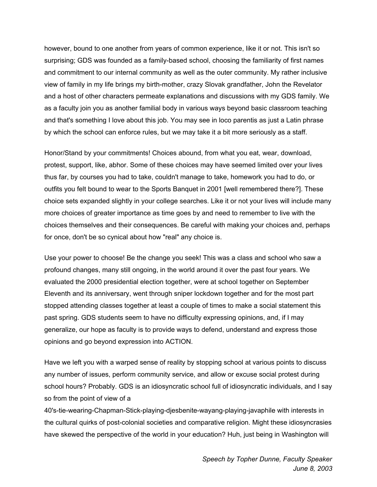however, bound to one another from years of common experience, like it or not. This isn't so surprising; GDS was founded as a family-based school, choosing the familiarity of first names and commitment to our internal community as well as the outer community. My rather inclusive view of family in my life brings my birth-mother, crazy Slovak grandfather, John the Revelator and a host of other characters permeate explanations and discussions with my GDS family. We as a faculty join you as another familial body in various ways beyond basic classroom teaching and that's something I love about this job. You may see in loco parentis as just a Latin phrase by which the school can enforce rules, but we may take it a bit more seriously as a staff.

Honor/Stand by your commitments! Choices abound, from what you eat, wear, download, protest, support, like, abhor. Some of these choices may have seemed limited over your lives thus far, by courses you had to take, couldn't manage to take, homework you had to do, or outfits you felt bound to wear to the Sports Banquet in 2001 [well remembered there?]. These choice sets expanded slightly in your college searches. Like it or not your lives will include many more choices of greater importance as time goes by and need to remember to live with the choices themselves and their consequences. Be careful with making your choices and, perhaps for once, don't be so cynical about how "real" any choice is.

Use your power to choose! Be the change you seek! This was a class and school who saw a profound changes, many still ongoing, in the world around it over the past four years. We evaluated the 2000 presidential election together, were at school together on September Eleventh and its anniversary, went through sniper lockdown together and for the most part stopped attending classes together at least a couple of times to make a social statement this past spring. GDS students seem to have no difficulty expressing opinions, and, if I may generalize, our hope as faculty is to provide ways to defend, understand and express those opinions and go beyond expression into ACTION.

Have we left you with a warped sense of reality by stopping school at various points to discuss any number of issues, perform community service, and allow or excuse social protest during school hours? Probably. GDS is an idiosyncratic school full of idiosyncratic individuals, and I say so from the point of view of a

40's-tie-wearing-Chapman-Stick-playing-djesbenite-wayang-playing-javaphile with interests in the cultural quirks of post-colonial societies and comparative religion. Might these idiosyncrasies have skewed the perspective of the world in your education? Huh, just being in Washington will